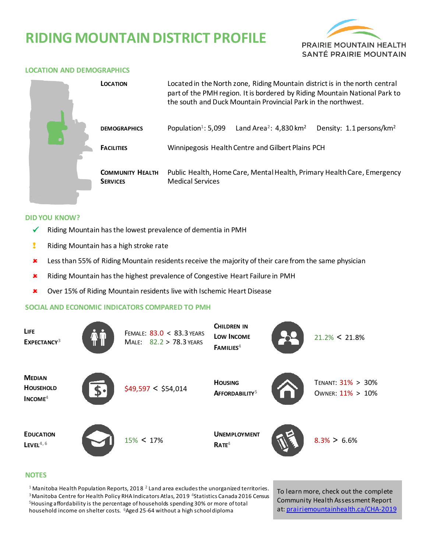# **RIDING MOUNTAIN DISTRICT PROFILE**



### **LOCATION AND DEMOGRAPHICS**

|  | LOCATION                                   | Located in the North zone, Riding Mountain district is in the north central<br>part of the PMH region. It is bordered by Riding Mountain National Park to<br>the south and Duck Mountain Provincial Park in the northwest. |                                                |                                      |  |  |
|--|--------------------------------------------|----------------------------------------------------------------------------------------------------------------------------------------------------------------------------------------------------------------------------|------------------------------------------------|--------------------------------------|--|--|
|  | <b>DEMOGRAPHICS</b>                        | Population <sup>1</sup> : 5,099                                                                                                                                                                                            | Land Area <sup>2</sup> : 4,830 km <sup>2</sup> | Density: 1.1 persons/km <sup>2</sup> |  |  |
|  | <b>FACILITIES</b>                          | Winnipegosis Health Centre and Gilbert Plains PCH                                                                                                                                                                          |                                                |                                      |  |  |
|  | <b>COMMUNITY HEALTH</b><br><b>SERVICES</b> | Public Health, Home Care, Mental Health, Primary Health Care, Emergency<br><b>Medical Services</b>                                                                                                                         |                                                |                                      |  |  |

#### **DID YOU KNOW?**

- $\checkmark$  Riding Mountain has the lowest prevalence of dementia in PMH
- **!** Riding Mountain has a high stroke rate
- **\*** Less than 55% of Riding Mountain residents receive the majority of their care from the same physician
- Riding Mountain has the highest prevalence of Congestive Heart Failure in PMH
- Over 15% of Riding Mountain residents live with Ischemic Heart Disease

#### **SOCIAL AND ECONOMIC INDICATORS COMPARED TO PMH**

| <b>LIFE</b><br>EXPECTANCY <sup>3</sup>         |                 | FEMALE: 83.0 < 83.3 YEARS<br>MALE: 82.2 > 78.3 YEARS | <b>CHILDREN IN</b><br>LOW INCOME<br>FAMILIES <sup>4</sup> | $21.2\% < 21.8\%$                     |
|------------------------------------------------|-----------------|------------------------------------------------------|-----------------------------------------------------------|---------------------------------------|
| <b>MEDIAN</b><br><b>HOUSEHOLD</b><br>$INCOME4$ | $\mathbf{S}$ •l | \$49,597 < \$54,014                                  | <b>HOUSING</b><br>AFFORDABILITY <sup>5</sup>              | TENANT: 31% > 30%<br>OWNER: 11% > 10% |
| <b>EDUCATION</b><br>$L$ EVEL <sup>4,6</sup>    |                 | $15\% < 17\%$                                        | <b>UNEMPLOYMENT</b><br>RATE <sup>4</sup>                  | $8.3\% > 6.6\%$                       |

#### **NOTES**

 Manitoba Health Population Reports, 2018 **<sup>2</sup>**Land area excludes the unorganized territories. Manitoba Centre for Health Policy RHA Indicators Atlas, 2019 **<sup>4</sup>**Statistics Canada 2016 Census Housing affordability is the percentage of households spending 30% or more of total household income on shelter costs. **<sup>6</sup>**Aged 25-64 without a high school diploma

To learn more, check out the complete Community Health Assessment Report at[: prairiemountainhealth.ca/CHA-2019](https://prairiemountainhealth.ca/CHA-2019)